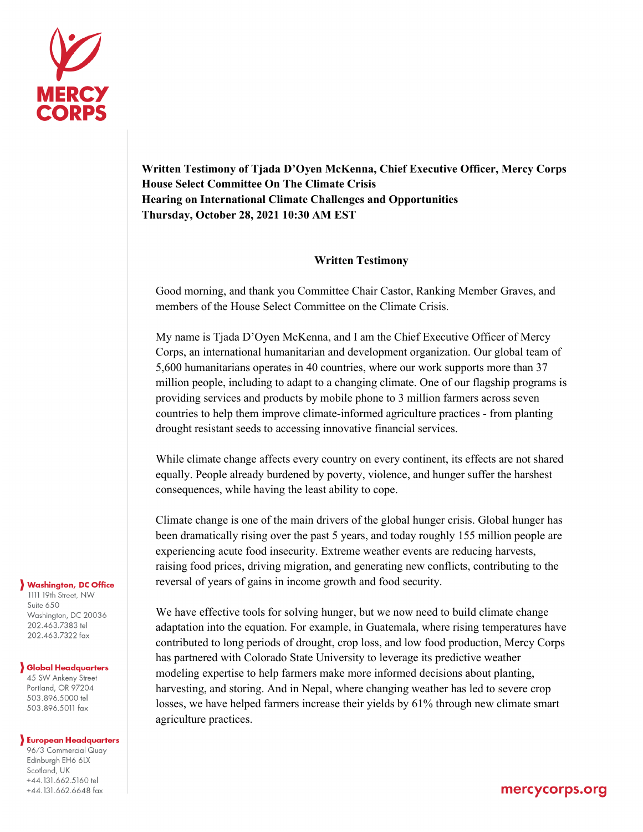

**Written Testimony of Tjada D'Oyen McKenna, Chief Executive Officer, Mercy Corps House Select Committee On The Climate Crisis Hearing on International Climate Challenges and Opportunities Thursday, October 28, 2021 10:30 AM EST** 

## **Written Testimony**

Good morning, and thank you Committee Chair Castor, Ranking Member Graves, and members of the House Select Committee on the Climate Crisis.

My name is Tjada D'Oyen McKenna, and I am the Chief Executive Officer of Mercy Corps, an international humanitarian and development organization. Our global team of 5,600 humanitarians operates in 40 countries, where our work supports more than 37 million people, including to adapt to a changing climate. One of our flagship programs is providing services and products by mobile phone to 3 million farmers across seven countries to help them improve climate-informed agriculture practices - from planting drought resistant seeds to accessing innovative financial services.

While climate change affects every country on every continent, its effects are not shared equally. People already burdened by poverty, violence, and hunger suffer the harshest consequences, while having the least ability to cope.

Climate change is one of the main drivers of the global hunger crisis. Global hunger has been dramatically rising over the past 5 years, and today roughly 155 million people are experiencing acute food insecurity. Extreme weather events are reducing harvests, raising food prices, driving migration, and generating new conflicts, contributing to the reversal of years of gains in income growth and food security.

We have effective tools for solving hunger, but we now need to build climate change adaptation into the equation. For example, in Guatemala, where rising temperatures have contributed to long periods of drought, crop loss, and low food production, Mercy Corps has partnered with Colorado State University to leverage its predictive weather modeling expertise to help farmers make more informed decisions about planting, harvesting, and storing. And in Nepal, where changing weather has led to severe crop losses, we have helped farmers increase their yields by 61% through new climate smart agriculture practices.

## **Washington, DC Office**

1111 19th Street, NW Suite 650 Washington, DC 20036 202.463.7383 tel 202.463.7322 fax

## **Global Headquarters**

45 SW Ankeny Street Portland, OR 97204 503.896.5000 tel 503.896.5011 fax

## **Buropean Headquarters**

96/3 Commercial Quay Edinburgh EH6 6LX Scotland, UK +44.131.662.5160 tel +44.131.662.6648 fax